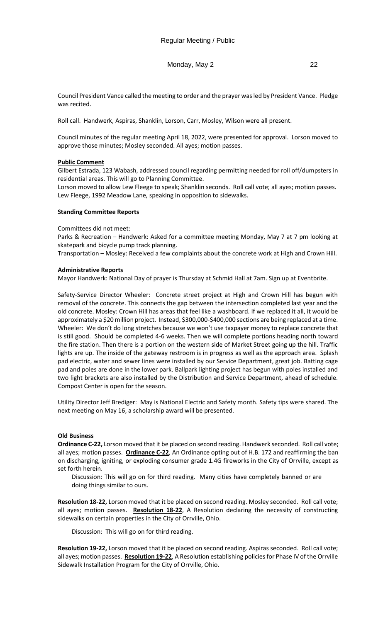## Monday, May 2 22

Council President Vance called the meeting to order and the prayer was led by President Vance. Pledge was recited.

Roll call. Handwerk, Aspiras, Shanklin, Lorson, Carr, Mosley, Wilson were all present.

Council minutes of the regular meeting April 18, 2022, were presented for approval. Lorson moved to approve those minutes; Mosley seconded. All ayes; motion passes.

## **Public Comment**

Gilbert Estrada, 123 Wabash, addressed council regarding permitting needed for roll off/dumpsters in residential areas. This will go to Planning Committee.

Lorson moved to allow Lew Fleege to speak; Shanklin seconds. Roll call vote; all ayes; motion passes. Lew Fleege, 1992 Meadow Lane, speaking in opposition to sidewalks.

## **Standing Committee Reports**

Committees did not meet:

Parks & Recreation – Handwerk: Asked for a committee meeting Monday, May 7 at 7 pm looking at skatepark and bicycle pump track planning.

Transportation – Mosley: Received a few complaints about the concrete work at High and Crown Hill.

# **Administrative Reports**

Mayor Handwerk: National Day of prayer is Thursday at Schmid Hall at 7am. Sign up at Eventbrite.

Safety-Service Director Wheeler: Concrete street project at High and Crown Hill has begun with removal of the concrete. This connects the gap between the intersection completed last year and the old concrete. Mosley: Crown Hill has areas that feel like a washboard. If we replaced it all, it would be approximately a \$20 million project. Instead, \$300,000-\$400,000 sections are being replaced at a time. Wheeler: We don't do long stretches because we won't use taxpayer money to replace concrete that is still good. Should be completed 4-6 weeks. Then we will complete portions heading north toward the fire station. Then there is a portion on the western side of Market Street going up the hill. Traffic lights are up. The inside of the gateway restroom is in progress as well as the approach area. Splash pad electric, water and sewer lines were installed by our Service Department, great job. Batting cage pad and poles are done in the lower park. Ballpark lighting project has begun with poles installed and two light brackets are also installed by the Distribution and Service Department, ahead of schedule. Compost Center is open for the season.

Utility Director Jeff Brediger: May is National Electric and Safety month. Safety tips were shared. The next meeting on May 16, a scholarship award will be presented.

## **Old Business**

**Ordinance C-22,** Lorson moved that it be placed on second reading. Handwerk seconded. Roll call vote; all ayes; motion passes. **Ordinance C-22**, An Ordinance opting out of H.B. 172 and reaffirming the ban on discharging, igniting, or exploding consumer grade 1.4G fireworks in the City of Orrville, except as set forth herein.

Discussion: This will go on for third reading. Many cities have completely banned or are doing things similar to ours.

**Resolution 18-22,** Lorson moved that it be placed on second reading. Mosley seconded. Roll call vote; all ayes; motion passes. **Resolution 18-22**, A Resolution declaring the necessity of constructing sidewalks on certain properties in the City of Orrville, Ohio.

Discussion: This will go on for third reading.

**Resolution 19-22,** Lorson moved that it be placed on second reading. Aspiras seconded. Roll call vote; all ayes; motion passes. **Resolution 19-22**, A Resolution establishing policies for Phase IV of the Orrville Sidewalk Installation Program for the City of Orrville, Ohio.